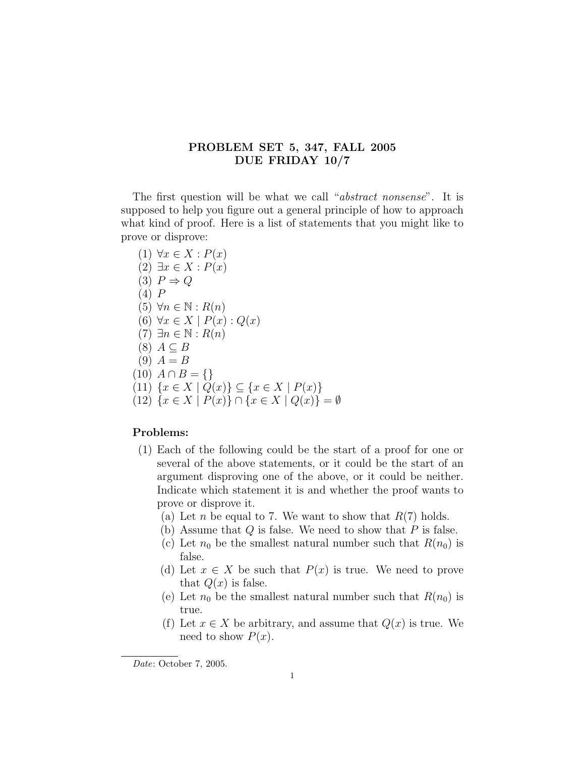## PROBLEM SET 5, 347, FALL 2005 DUE FRIDAY 10/7

The first question will be what we call "*abstract nonsense*". It is supposed to help you figure out a general principle of how to approach what kind of proof. Here is a list of statements that you might like to prove or disprove:

- (1)  $\forall x \in X : P(x)$  $(2) \exists x \in X : P(x)$  $(3)$   $P \Rightarrow Q$ (4) P  $(5)$   $\forall n \in \mathbb{N} : R(n)$  $(6) \forall x \in X \mid P(x): Q(x)$  $(7) \exists n \in \mathbb{N} : R(n)$  $(8)$   $A \subseteq B$  $(9)$   $A = B$  $(10)$   $A \cap B = \{\}$ (11)  $\{x \in X \mid Q(x)\} \subseteq \{x \in X \mid P(x)\}\$
- (12)  ${x \in X | P(x)} ∩ {x \in X | Q(x)} = ∅$

## Problems:

- (1) Each of the following could be the start of a proof for one or several of the above statements, or it could be the start of an argument disproving one of the above, or it could be neither. Indicate which statement it is and whether the proof wants to prove or disprove it.
	- (a) Let *n* be equal to 7. We want to show that  $R(7)$  holds.
	- (b) Assume that  $Q$  is false. We need to show that  $P$  is false.
	- (c) Let  $n_0$  be the smallest natural number such that  $R(n_0)$  is false.
	- (d) Let  $x \in X$  be such that  $P(x)$  is true. We need to prove that  $Q(x)$  is false.
	- (e) Let  $n_0$  be the smallest natural number such that  $R(n_0)$  is true.
	- (f) Let  $x \in X$  be arbitrary, and assume that  $Q(x)$  is true. We need to show  $P(x)$ .

Date: October 7, 2005.